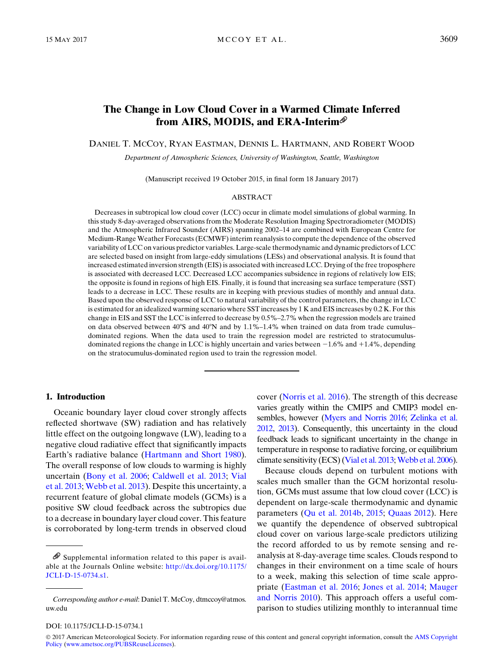# The Change in Low Cloud Cover in a Warmed Climate Inferred from AIRS, MODIS, and ERA-Interim

DANIEL T. MCCOY, RYAN EASTMAN, DENNIS L. HARTMANN, AND ROBERT WOOD

Department of Atmospheric Sciences, University of Washington, Seattle, Washington

(Manuscript received 19 October 2015, in final form 18 January 2017)

#### ABSTRACT

Decreases in subtropical low cloud cover (LCC) occur in climate model simulations of global warming. In this study 8-day-averaged observations from the Moderate Resolution Imaging Spectroradiometer (MODIS) and the Atmospheric Infrared Sounder (AIRS) spanning 2002–14 are combined with European Centre for Medium-Range Weather Forecasts (ECMWF) interim reanalysis to compute the dependence of the observed variability of LCC on various predictor variables. Large-scale thermodynamic and dynamic predictors of LCC are selected based on insight from large-eddy simulations (LESs) and observational analysis. It is found that increased estimated inversion strength (EIS) is associated with increased LCC. Drying of the free troposphere is associated with decreased LCC. Decreased LCC accompanies subsidence in regions of relatively low EIS; the opposite is found in regions of high EIS. Finally, it is found that increasing sea surface temperature (SST) leads to a decrease in LCC. These results are in keeping with previous studies of monthly and annual data. Based upon the observed response of LCC to natural variability of the control parameters, the change in LCC is estimated for an idealized warming scenario where SST increases by 1 K and EIS increases by 0.2 K. For this change in EIS and SST the LCC is inferred to decrease by 0.5%–2.7% when the regression models are trained on data observed between  $40^{\circ}$ S and  $40^{\circ}$ N and by 1.1%–1.4% when trained on data from trade cumulus– dominated regions. When the data used to train the regression model are restricted to stratocumulusdominated regions the change in LCC is highly uncertain and varies between  $-1.6\%$  and  $+1.4\%$ , depending on the stratocumulus-dominated region used to train the regression model.

### 1. Introduction

Oceanic boundary layer cloud cover strongly affects reflected shortwave (SW) radiation and has relatively little effect on the outgoing longwave (LW), leading to a negative cloud radiative effect that significantly impacts Earth's radiative balance ([Hartmann and Short 1980\)](#page-10-0). The overall response of low clouds to warming is highly uncertain ([Bony et al. 2006;](#page-10-1) [Caldwell et al. 2013;](#page-10-2) [Vial](#page-11-0) [et al. 2013](#page-11-0); [Webb et al. 2013](#page-11-1)). Despite this uncertainty, a recurrent feature of global climate models (GCMs) is a positive SW cloud feedback across the subtropics due to a decrease in boundary layer cloud cover. This feature is corroborated by long-term trends in observed cloud cover ([Norris et al. 2016](#page-11-2)). The strength of this decrease varies greatly within the CMIP5 and CMIP3 model ensembles, however [\(Myers and Norris 2016;](#page-11-3) [Zelinka et al.](#page-11-4) [2012,](#page-11-4) [2013\)](#page-11-5). Consequently, this uncertainty in the cloud feedback leads to significant uncertainty in the change in temperature in response to radiative forcing, or equilibrium climate sensitivity (ECS) [\(Vial et al. 2013;](#page-11-0) [Webb et al. 2006](#page-11-6)).

Because clouds depend on turbulent motions with scales much smaller than the GCM horizontal resolution, GCMs must assume that low cloud cover (LCC) is dependent on large-scale thermodynamic and dynamic parameters [\(Qu et al. 2014b,](#page-11-7) [2015;](#page-11-8) [Quaas 2012\)](#page-11-9). Here we quantify the dependence of observed subtropical cloud cover on various large-scale predictors utilizing the record afforded to us by remote sensing and reanalysis at 8-day-average time scales. Clouds respond to changes in their environment on a time scale of hours to a week, making this selection of time scale appropriate [\(Eastman et al. 2016;](#page-10-3) [Jones et al. 2014](#page-10-4); [Mauger](#page-10-5) [and Norris 2010](#page-10-5)). This approach offers a useful comparison to studies utilizing monthly to interannual time

DOI: 10.1175/JCLI-D-15-0734.1

 $\mathscr{D}$  Supplemental information related to this paper is available at the Journals Online website: [http://dx.doi.org/10.1175/](http://dx.doi.org/10.1175/JCLI-D-15-0734.s1) [JCLI-D-15-0734.s1.](http://dx.doi.org/10.1175/JCLI-D-15-0734.s1)

Corresponding author e-mail: Daniel T. McCoy, [dtmccoy@atmos.](mailto:dtmccoy@atmos.uw.edu) [uw.edu](mailto:dtmccoy@atmos.uw.edu)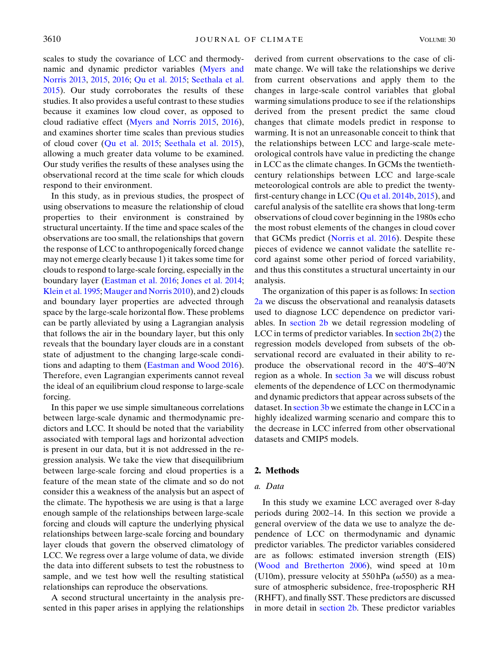scales to study the covariance of LCC and thermodynamic and dynamic predictor variables ([Myers and](#page-11-10) [Norris 2013](#page-11-10), [2015,](#page-11-11) [2016](#page-11-3); [Qu et al. 2015](#page-11-8); [Seethala et al.](#page-11-12) [2015\)](#page-11-12). Our study corroborates the results of these studies. It also provides a useful contrast to these studies because it examines low cloud cover, as opposed to cloud radiative effect ([Myers and Norris 2015,](#page-11-11) [2016](#page-11-3)), and examines shorter time scales than previous studies of cloud cover [\(Qu et al. 2015;](#page-11-8) [Seethala et al. 2015](#page-11-12)), allowing a much greater data volume to be examined. Our study verifies the results of these analyses using the observational record at the time scale for which clouds respond to their environment.

In this study, as in previous studies, the prospect of using observations to measure the relationship of cloud properties to their environment is constrained by structural uncertainty. If the time and space scales of the observations are too small, the relationships that govern the response of LCC to anthropogenically forced change may not emerge clearly because 1) it takes some time for clouds to respond to large-scale forcing, especially in the boundary layer [\(Eastman et al. 2016;](#page-10-3) [Jones et al. 2014;](#page-10-4) [Klein et al. 1995](#page-10-6); [Mauger and Norris 2010](#page-10-5)), and 2) clouds and boundary layer properties are advected through space by the large-scale horizontal flow. These problems can be partly alleviated by using a Lagrangian analysis that follows the air in the boundary layer, but this only reveals that the boundary layer clouds are in a constant state of adjustment to the changing large-scale conditions and adapting to them [\(Eastman and Wood 2016](#page-10-7)). Therefore, even Lagrangian experiments cannot reveal the ideal of an equilibrium cloud response to large-scale forcing.

In this paper we use simple simultaneous correlations between large-scale dynamic and thermodynamic predictors and LCC. It should be noted that the variability associated with temporal lags and horizontal advection is present in our data, but it is not addressed in the regression analysis. We take the view that disequilibrium between large-scale forcing and cloud properties is a feature of the mean state of the climate and so do not consider this a weakness of the analysis but an aspect of the climate. The hypothesis we are using is that a large enough sample of the relationships between large-scale forcing and clouds will capture the underlying physical relationships between large-scale forcing and boundary layer clouds that govern the observed climatology of LCC. We regress over a large volume of data, we divide the data into different subsets to test the robustness to sample, and we test how well the resulting statistical relationships can reproduce the observations.

A second structural uncertainty in the analysis presented in this paper arises in applying the relationships derived from current observations to the case of climate change. We will take the relationships we derive from current observations and apply them to the changes in large-scale control variables that global warming simulations produce to see if the relationships derived from the present predict the same cloud changes that climate models predict in response to warming. It is not an unreasonable conceit to think that the relationships between LCC and large-scale meteorological controls have value in predicting the change in LCC as the climate changes. In GCMs the twentiethcentury relationships between LCC and large-scale meteorological controls are able to predict the twentyfirst-century change in LCC [\(Qu et al. 2014b](#page-11-7), [2015\)](#page-11-8), and careful analysis of the satellite era shows that long-term observations of cloud cover beginning in the 1980s echo the most robust elements of the changes in cloud cover that GCMs predict ([Norris et al. 2016](#page-11-2)). Despite these pieces of evidence we cannot validate the satellite record against some other period of forced variability, and thus this constitutes a structural uncertainty in our analysis.

The organization of this paper is as follows: In [section](#page-1-0) [2a](#page-1-0) we discuss the observational and reanalysis datasets used to diagnose LCC dependence on predictor variables. In [section 2b](#page-2-0) we detail regression modeling of LCC in terms of predictor variables. In section  $2b(2)$  the regression models developed from subsets of the observational record are evaluated in their ability to reproduce the observational record in the  $40^{\circ}S-40^{\circ}N$ region as a whole. In [section 3a](#page-6-0) we will discuss robust elements of the dependence of LCC on thermodynamic and dynamic predictors that appear across subsets of the dataset. In [section 3b](#page-7-0) we estimate the change in LCC in a highly idealized warming scenario and compare this to the decrease in LCC inferred from other observational datasets and CMIP5 models.

## 2. Methods

## <span id="page-1-0"></span>a. Data

In this study we examine LCC averaged over 8-day periods during 2002–14. In this section we provide a general overview of the data we use to analyze the dependence of LCC on thermodynamic and dynamic predictor variables. The predictor variables considered are as follows: estimated inversion strength (EIS) ([Wood and Bretherton 2006\)](#page-11-13), wind speed at 10 m (U10m), pressure velocity at 550 hPa ( $\omega$ 550) as a measure of atmospheric subsidence, free-tropospheric RH (RHFT), and finally SST. These predictors are discussed in more detail in [section 2b.](#page-2-0) These predictor variables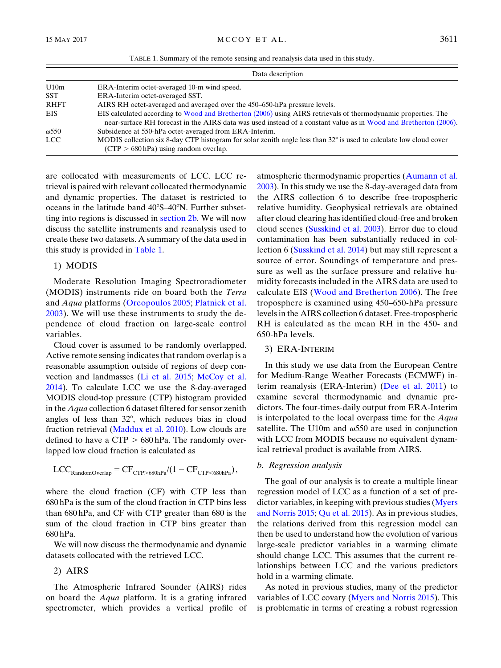TABLE 1. Summary of the remote sensing and reanalysis data used in this study.

<span id="page-2-1"></span>

|              | Data description                                                                                                                                                                                                                  |  |
|--------------|-----------------------------------------------------------------------------------------------------------------------------------------------------------------------------------------------------------------------------------|--|
| U10m         | ERA-Interim octet-averaged 10-m wind speed.                                                                                                                                                                                       |  |
| <b>SST</b>   | ERA-Interim octet-averaged SST.                                                                                                                                                                                                   |  |
| <b>RHFT</b>  | AIRS RH octet-averaged and averaged over the 450–650-hPa pressure levels.                                                                                                                                                         |  |
| EIS          | EIS calculated according to Wood and Bretherton (2006) using AIRS retrievals of thermodynamic properties. The<br>near-surface RH forecast in the AIRS data was used instead of a constant value as in Wood and Bretherton (2006). |  |
| $\omega$ 550 | Subsidence at 550-hPa octet-averaged from ERA-Interim.                                                                                                                                                                            |  |
| <b>LCC</b>   | MODIS collection six 8-day CTP histogram for solar zenith angle less than 32° is used to calculate low cloud cover<br>$(CTP > 680$ hPa) using random overlap.                                                                     |  |

are collocated with measurements of LCC. LCC retrieval is paired with relevant collocated thermodynamic and dynamic properties. The dataset is restricted to oceans in the latitude band  $40^{\circ}$ S- $40^{\circ}$ N. Further subsetting into regions is discussed in [section 2b.](#page-2-0) We will now discuss the satellite instruments and reanalysis used to create these two datasets. A summary of the data used in this study is provided in [Table 1.](#page-2-1)

### 1) MODIS

Moderate Resolution Imaging Spectroradiometer (MODIS) instruments ride on board both the Terra and Aqua platforms ([Oreopoulos 2005;](#page-11-14) [Platnick et al.](#page-11-15) [2003](#page-11-15)). We will use these instruments to study the dependence of cloud fraction on large-scale control variables.

Cloud cover is assumed to be randomly overlapped. Active remote sensing indicates that random overlap is a reasonable assumption outside of regions of deep convection and landmasses ([Li et al. 2015;](#page-10-8) [McCoy et al.](#page-10-9) [2014\)](#page-10-9). To calculate LCC we use the 8-day-averaged MODIS cloud-top pressure (CTP) histogram provided in the Aqua collection 6 dataset filtered for sensor zenith angles of less than  $32^{\circ}$ , which reduces bias in cloud fraction retrieval ([Maddux et al. 2010\)](#page-10-10). Low clouds are defined to have a  $CTP > 680$  hPa. The randomly overlapped low cloud fraction is calculated as

$$
LCC_{\text{RandomOverlap}} = CF_{\text{CTP} > 680 \text{hPa}} / (1 - CF_{\text{CTP} < 680 \text{hPa}}),
$$

where the cloud fraction (CF) with CTP less than 680 hPa is the sum of the cloud fraction in CTP bins less than 680 hPa, and CF with CTP greater than 680 is the sum of the cloud fraction in CTP bins greater than 680 hPa.

We will now discuss the thermodynamic and dynamic datasets collocated with the retrieved LCC.

## 2) AIRS

The Atmospheric Infrared Sounder (AIRS) rides on board the Aqua platform. It is a grating infrared spectrometer, which provides a vertical profile of

atmospheric thermodynamic properties [\(Aumann et al.](#page-10-11) [2003\)](#page-10-11). In this study we use the 8-day-averaged data from the AIRS collection 6 to describe free-tropospheric relative humidity. Geophysical retrievals are obtained after cloud clearing has identified cloud-free and broken cloud scenes [\(Susskind et al. 2003\)](#page-11-16). Error due to cloud contamination has been substantially reduced in collection 6 [\(Susskind et al. 2014](#page-11-17)) but may still represent a source of error. Soundings of temperature and pressure as well as the surface pressure and relative humidity forecasts included in the AIRS data are used to calculate EIS ([Wood and Bretherton 2006](#page-11-13)). The free troposphere is examined using 450–650-hPa pressure levels in the AIRS collection 6 dataset. Free-tropospheric RH is calculated as the mean RH in the 450- and 650-hPa levels.

### 3) ERA-INTERIM

In this study we use data from the European Centre for Medium-Range Weather Forecasts (ECMWF) interim reanalysis (ERA-Interim) [\(Dee et al. 2011\)](#page-10-12) to examine several thermodynamic and dynamic predictors. The four-times-daily output from ERA-Interim is interpolated to the local overpass time for the Aqua satellite. The U10m and  $\omega$ 550 are used in conjunction with LCC from MODIS because no equivalent dynamical retrieval product is available from AIRS.

#### <span id="page-2-0"></span>b. Regression analysis

The goal of our analysis is to create a multiple linear regression model of LCC as a function of a set of predictor variables, in keeping with previous studies [\(Myers](#page-11-11) [and Norris 2015;](#page-11-11) [Qu et al. 2015](#page-11-8)). As in previous studies, the relations derived from this regression model can then be used to understand how the evolution of various large-scale predictor variables in a warming climate should change LCC. This assumes that the current relationships between LCC and the various predictors hold in a warming climate.

As noted in previous studies, many of the predictor variables of LCC covary ([Myers and Norris 2015\)](#page-11-11). This is problematic in terms of creating a robust regression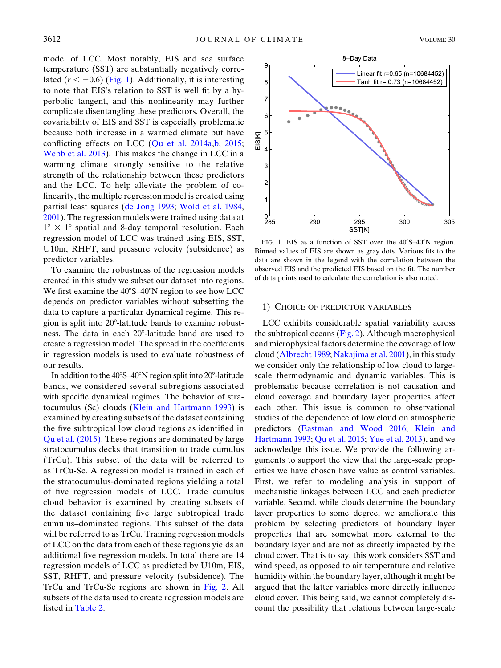model of LCC. Most notably, EIS and sea surface temperature (SST) are substantially negatively correlated ( $r < -0.6$ ) [\(Fig. 1\)](#page-3-0). Additionally, it is interesting to note that EIS's relation to SST is well fit by a hyperbolic tangent, and this nonlinearity may further complicate disentangling these predictors. Overall, the covariability of EIS and SST is especially problematic because both increase in a warmed climate but have conflicting effects on LCC ([Qu et al. 2014a](#page-11-18)[,b,](#page-11-7) [2015;](#page-11-8) [Webb et al. 2013](#page-11-1)). This makes the change in LCC in a warming climate strongly sensitive to the relative strength of the relationship between these predictors and the LCC. To help alleviate the problem of colinearity, the multiple regression model is created using partial least squares [\(de Jong 1993](#page-10-13); [Wold et al. 1984,](#page-11-19) [2001](#page-11-20)). The regression models were trained using data at  $1^{\circ} \times 1^{\circ}$  spatial and 8-day temporal resolution. Each regression model of LCC was trained using EIS, SST, U10m, RHFT, and pressure velocity (subsidence) as predictor variables.

To examine the robustness of the regression models created in this study we subset our dataset into regions. We first examine the  $40^{\circ}S-40^{\circ}N$  region to see how LCC depends on predictor variables without subsetting the data to capture a particular dynamical regime. This region is split into  $20^{\circ}$ -latitude bands to examine robustness. The data in each 20°-latitude band are used to create a regression model. The spread in the coefficients in regression models is used to evaluate robustness of our results.

In addition to the  $40^{\circ}S - 40^{\circ}N$  region split into  $20^{\circ}$ -latitude bands, we considered several subregions associated with specific dynamical regimes. The behavior of stratocumulus (Sc) clouds [\(Klein and Hartmann 1993](#page-10-14)) is examined by creating subsets of the dataset containing the five subtropical low cloud regions as identified in [Qu et al. \(2015\)](#page-11-8). These regions are dominated by large stratocumulus decks that transition to trade cumulus (TrCu). This subset of the data will be referred to as TrCu-Sc. A regression model is trained in each of the stratocumulus-dominated regions yielding a total of five regression models of LCC. Trade cumulus cloud behavior is examined by creating subsets of the dataset containing five large subtropical trade cumulus–dominated regions. This subset of the data will be referred to as TrCu. Training regression models of LCC on the data from each of these regions yields an additional five regression models. In total there are 14 regression models of LCC as predicted by U10m, EIS, SST, RHFT, and pressure velocity (subsidence). The TrCu and TrCu-Sc regions are shown in [Fig. 2.](#page-4-0) All subsets of the data used to create regression models are listed in [Table 2.](#page-4-1)

<span id="page-3-0"></span>

FIG. 1. EIS as a function of SST over the  $40^{\circ}S-40^{\circ}N$  region. Binned values of EIS are shown as gray dots. Various fits to the data are shown in the legend with the correlation between the observed EIS and the predicted EIS based on the fit. The number of data points used to calculate the correlation is also noted.

### 1) CHOICE OF PREDICTOR VARIABLES

LCC exhibits considerable spatial variability across the subtropical oceans [\(Fig. 2\)](#page-4-0). Although macrophysical and microphysical factors determine the coverage of low cloud [\(Albrecht 1989](#page-10-15); [Nakajima et al. 2001](#page-11-21)), in this study we consider only the relationship of low cloud to largescale thermodynamic and dynamic variables. This is problematic because correlation is not causation and cloud coverage and boundary layer properties affect each other. This issue is common to observational studies of the dependence of low cloud on atmospheric predictors ([Eastman and Wood 2016](#page-10-7); [Klein and](#page-10-14) [Hartmann 1993;](#page-10-14) [Qu et al. 2015;](#page-11-8) [Yue et al. 2013\)](#page-11-22), and we acknowledge this issue. We provide the following arguments to support the view that the large-scale properties we have chosen have value as control variables. First, we refer to modeling analysis in support of mechanistic linkages between LCC and each predictor variable. Second, while clouds determine the boundary layer properties to some degree, we ameliorate this problem by selecting predictors of boundary layer properties that are somewhat more external to the boundary layer and are not as directly impacted by the cloud cover. That is to say, this work considers SST and wind speed, as opposed to air temperature and relative humidity within the boundary layer, although it might be argued that the latter variables more directly influence cloud cover. This being said, we cannot completely discount the possibility that relations between large-scale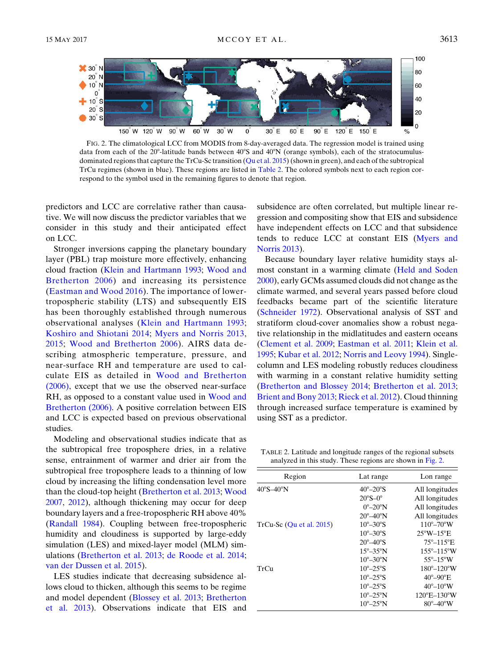<span id="page-4-0"></span>

FIG. 2. The climatological LCC from MODIS from 8-day-averaged data. The regression model is trained using data from each of the 20°-latitude bands between 40°S and 40°N (orange symbols), each of the stratocumulusdominated regions that capture the TrCu-Sc transition [\(Qu et al. 2015](#page-11-8)) (shown in green), and each of the subtropical TrCu regimes (shown in blue). These regions are listed in [Table 2](#page-4-1). The colored symbols next to each region correspond to the symbol used in the remaining figures to denote that region.

predictors and LCC are correlative rather than causative. We will now discuss the predictor variables that we consider in this study and their anticipated effect on LCC.

Stronger inversions capping the planetary boundary layer (PBL) trap moisture more effectively, enhancing cloud fraction ([Klein and Hartmann 1993](#page-10-14); [Wood and](#page-11-13) [Bretherton 2006\)](#page-11-13) and increasing its persistence ([Eastman and Wood 2016\)](#page-10-7). The importance of lowertropospheric stability (LTS) and subsequently EIS has been thoroughly established through numerous observational analyses ([Klein and Hartmann 1993;](#page-10-14) [Koshiro and Shiotani 2014](#page-10-16); [Myers and Norris 2013,](#page-11-10) [2015;](#page-11-11) [Wood and Bretherton 2006](#page-11-13)). AIRS data describing atmospheric temperature, pressure, and near-surface RH and temperature are used to calculate EIS as detailed in [Wood and Bretherton](#page-11-13) [\(2006\)](#page-11-13), except that we use the observed near-surface RH, as opposed to a constant value used in [Wood and](#page-11-13) [Bretherton \(2006\)](#page-11-13). A positive correlation between EIS and LCC is expected based on previous observational studies.

Modeling and observational studies indicate that as the subtropical free troposphere dries, in a relative sense, entrainment of warmer and drier air from the subtropical free troposphere leads to a thinning of low cloud by increasing the lifting condensation level more than the cloud-top height ([Bretherton et al. 2013](#page-10-17); [Wood](#page-11-23) [2007,](#page-11-23) [2012](#page-11-24)), although thickening may occur for deep boundary layers and a free-tropospheric RH above 40% [\(Randall 1984\)](#page-11-25). Coupling between free-tropospheric humidity and cloudiness is supported by large-eddy simulation (LES) and mixed-layer model (MLM) simulations [\(Bretherton et al. 2013](#page-10-17); [de Roode et al. 2014;](#page-10-18) [van der Dussen et al. 2015](#page-11-26)).

LES studies indicate that decreasing subsidence allows cloud to thicken, although this seems to be regime and model dependent ([Blossey et al. 2013;](#page-10-19) [Bretherton](#page-10-17) [et al. 2013\)](#page-10-17). Observations indicate that EIS and

subsidence are often correlated, but multiple linear regression and compositing show that EIS and subsidence have independent effects on LCC and that subsidence tends to reduce LCC at constant EIS [\(Myers and](#page-11-10) [Norris 2013\)](#page-11-10).

Because boundary layer relative humidity stays almost constant in a warming climate [\(Held and Soden](#page-10-20) [2000\)](#page-10-20), early GCMs assumed clouds did not change as the climate warmed, and several years passed before cloud feedbacks became part of the scientific literature ([Schneider 1972\)](#page-11-27). Observational analysis of SST and stratiform cloud-cover anomalies show a robust negative relationship in the midlatitudes and eastern oceans ([Clement et al. 2009](#page-10-21); [Eastman et al. 2011](#page-10-22); [Klein et al.](#page-10-6) [1995;](#page-10-6) [Kubar et al. 2012;](#page-10-23) [Norris and Leovy 1994](#page-11-28)). Singlecolumn and LES modeling robustly reduces cloudiness with warming in a constant relative humidity setting ([Bretherton and Blossey 2014;](#page-10-24) [Bretherton et al. 2013;](#page-10-17) [Brient and Bony 2013;](#page-10-25) [Rieck et al. 2012](#page-11-29)). Cloud thinning through increased surface temperature is examined by using SST as a predictor.

<span id="page-4-1"></span>TABLE 2. Latitude and longitude ranges of the regional subsets analyzed in this study. These regions are shown in [Fig. 2.](#page-4-0)

| Region                         | Lat range                    | Lon range                      |
|--------------------------------|------------------------------|--------------------------------|
| $40^{\circ}$ S $-40^{\circ}$ N | $40^\circ - 20^\circ S$      | All longitudes                 |
|                                | $20^{\circ}$ S $-0^{\circ}$  | All longitudes                 |
|                                | $0^{\circ}$ -20 $^{\circ}$ N | All longitudes                 |
|                                | $20^{\circ} - 40^{\circ}$ N  | All longitudes                 |
| $TrCu-Sc$ (Qu et al. 2015)     | $10^{\circ}-30^{\circ}$ S    | $110^{\circ} - 70^{\circ}$ W   |
|                                | $10^{\circ} - 30^{\circ}$ S  | $25^{\circ}$ W $-15^{\circ}$ E |
|                                | $20^{\circ} - 40^{\circ}$ S  | $75^{\circ} - 115^{\circ}$ E   |
|                                | $15^{\circ} - 35^{\circ}$ N  | $155^{\circ} - 115^{\circ}$ W  |
|                                | $10^{\circ}-30^{\circ}$ N    | $55^\circ - 15^\circ W$        |
| TrCu                           | $10^{\circ} - 25^{\circ}$ S  | $180^{\circ} - 120^{\circ}$ W  |
|                                | $10^{\circ} - 25^{\circ}$ S  | $40^{\circ} - 90^{\circ}$ E    |
|                                | $10^{\circ} - 25^{\circ}$ S  | $40^{\circ}-10^{\circ}$ W      |
|                                | $10^{\circ} - 25^{\circ}$ N  | $120^{\circ}E - 130^{\circ}W$  |
|                                | $10^{\circ} - 25^{\circ}$ N  | $80^\circ - 40^\circ W$        |
|                                |                              |                                |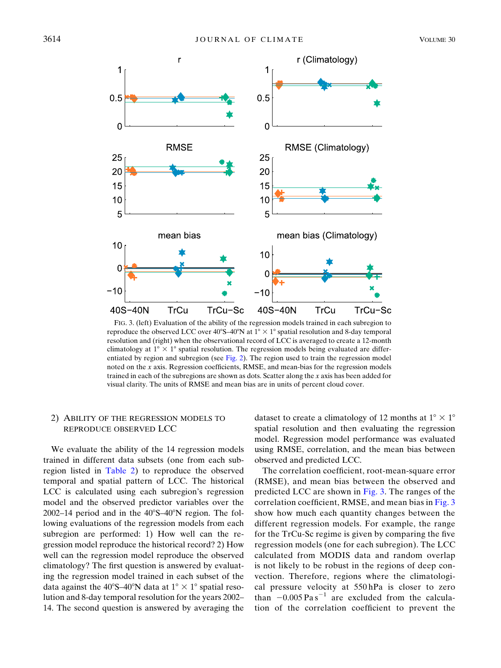<span id="page-5-1"></span>

FIG. 3. (left) Evaluation of the ability of the regression models trained in each subregion to reproduce the observed LCC over  $40^{\circ}S-40^{\circ}N$  at  $1^{\circ} \times 1^{\circ}$  spatial resolution and 8-day temporal resolution and (right) when the observational record of LCC is averaged to create a 12-month climatology at  $1^{\circ} \times 1^{\circ}$  spatial resolution. The regression models being evaluated are differ-entiated by region and subregion (see [Fig. 2](#page-4-0)). The region used to train the regression model noted on the x axis. Regression coefficients, RMSE, and mean-bias for the regression models trained in each of the subregions are shown as dots. Scatter along the  $x$  axis has been added for visual clarity. The units of RMSE and mean bias are in units of percent cloud cover.

## <span id="page-5-0"></span>2) ABILITY OF THE REGRESSION MODELS TO REPRODUCE OBSERVED LCC

We evaluate the ability of the 14 regression models trained in different data subsets (one from each subregion listed in [Table 2\)](#page-4-1) to reproduce the observed temporal and spatial pattern of LCC. The historical LCC is calculated using each subregion's regression model and the observed predictor variables over the  $2002-14$  period and in the  $40^{\circ}S-40^{\circ}N$  region. The following evaluations of the regression models from each subregion are performed: 1) How well can the regression model reproduce the historical record? 2) How well can the regression model reproduce the observed climatology? The first question is answered by evaluating the regression model trained in each subset of the data against the 40°S–40°N data at  $1^{\circ} \times 1^{\circ}$  spatial resolution and 8-day temporal resolution for the years 2002– 14. The second question is answered by averaging the dataset to create a climatology of 12 months at  $1^{\circ} \times 1^{\circ}$ spatial resolution and then evaluating the regression model. Regression model performance was evaluated using RMSE, correlation, and the mean bias between observed and predicted LCC.

The correlation coefficient, root-mean-square error (RMSE), and mean bias between the observed and predicted LCC are shown in [Fig. 3](#page-5-1). The ranges of the correlation coefficient, RMSE, and mean bias in [Fig. 3](#page-5-1) show how much each quantity changes between the different regression models. For example, the range for the TrCu-Sc regime is given by comparing the five regression models (one for each subregion). The LCC calculated from MODIS data and random overlap is not likely to be robust in the regions of deep convection. Therefore, regions where the climatological pressure velocity at 550 hPa is closer to zero than  $-0.005 \text{ Pa s}^{-1}$  are excluded from the calculation of the correlation coefficient to prevent the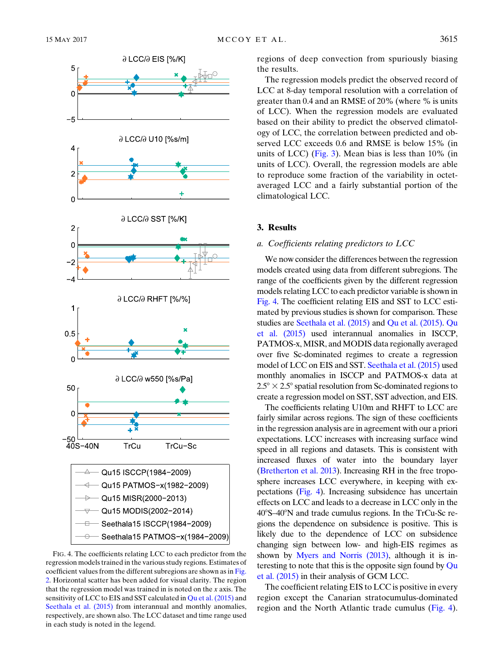<span id="page-6-1"></span>

FIG. 4. The coefficients relating LCC to each predictor from the regression models trained in the various study regions. Estimates of coefficient values from the different subregions are shown as in [Fig.](#page-4-0) [2.](#page-4-0) Horizontal scatter has been added for visual clarity. The region that the regression model was trained in is noted on the x axis. The sensitivity of LCC to EIS and SST calculated in [Qu et al. \(2015\)](#page-11-8) and [Seethala et al. \(2015\)](#page-11-12) from interannual and monthly anomalies, respectively, are shown also. The LCC dataset and time range used in each study is noted in the legend.

regions of deep convection from spuriously biasing the results.

The regression models predict the observed record of LCC at 8-day temporal resolution with a correlation of greater than 0.4 and an RMSE of 20% (where % is units of LCC). When the regression models are evaluated based on their ability to predict the observed climatology of LCC, the correlation between predicted and observed LCC exceeds 0.6 and RMSE is below 15% (in units of LCC) [\(Fig. 3\)](#page-5-1). Mean bias is less than 10% (in units of LCC). Overall, the regression models are able to reproduce some fraction of the variability in octetaveraged LCC and a fairly substantial portion of the climatological LCC.

## 3. Results

#### <span id="page-6-0"></span>a. Coefficients relating predictors to LCC

We now consider the differences between the regression models created using data from different subregions. The range of the coefficients given by the different regression models relating LCC to each predictor variable is shown in [Fig. 4](#page-6-1). The coefficient relating EIS and SST to LCC estimated by previous studies is shown for comparison. These studies are [Seethala et al. \(2015\)](#page-11-12) and [Qu et al. \(2015\)](#page-11-8). [Qu](#page-11-8) [et al. \(2015\)](#page-11-8) used interannual anomalies in ISCCP, PATMOS-x, MISR, and MODIS data regionally averaged over five Sc-dominated regimes to create a regression model of LCC on EIS and SST. [Seethala et al. \(2015\)](#page-11-12) used monthly anomalies in ISCCP and PATMOS-x data at  $2.5^{\circ} \times 2.5^{\circ}$  spatial resolution from Sc-dominated regions to create a regression model on SST, SST advection, and EIS.

The coefficients relating U10m and RHFT to LCC are fairly similar across regions. The sign of these coefficients in the regression analysis are in agreement with our a priori expectations. LCC increases with increasing surface wind speed in all regions and datasets. This is consistent with increased fluxes of water into the boundary layer [\(Bretherton et al. 2013\)](#page-10-17). Increasing RH in the free troposphere increases LCC everywhere, in keeping with expectations ([Fig. 4](#page-6-1)). Increasing subsidence has uncertain effects on LCC and leads to a decrease in LCC only in the 408S–408N and trade cumulus regions. In the TrCu-Sc regions the dependence on subsidence is positive. This is likely due to the dependence of LCC on subsidence changing sign between low- and high-EIS regimes as shown by [Myers and Norris \(2013\),](#page-11-10) although it is in-teresting to note that this is the opposite sign found by [Qu](#page-11-8) [et al. \(2015\)](#page-11-8) in their analysis of GCM LCC.

The coefficient relating EIS to LCC is positive in every region except the Canarian stratocumulus-dominated region and the North Atlantic trade cumulus [\(Fig. 4](#page-6-1)).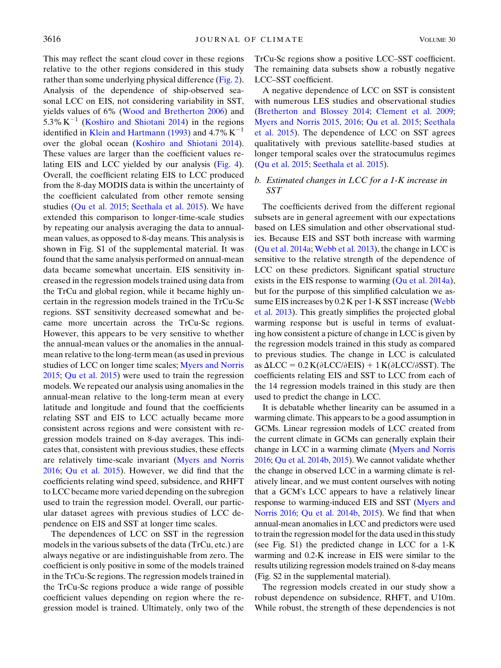This may reflect the scant cloud cover in these regions relative to the other regions considered in this study rather than some underlying physical difference ([Fig. 2](#page-4-0)). Analysis of the dependence of ship-observed seasonal LCC on EIS, not considering variability in SST, yields values of 6% ([Wood and Bretherton 2006\)](#page-11-13) and 5.3% K<sup>-1</sup> [\(Koshiro and Shiotani 2014](#page-10-16)) in the regions identified in [Klein and Hartmann \(1993\)](#page-10-14) and 4.7%  $K^{-1}$ over the global ocean ([Koshiro and Shiotani 2014](#page-10-16)). These values are larger than the coefficient values relating EIS and LCC yielded by our analysis ([Fig. 4](#page-6-1)). Overall, the coefficient relating EIS to LCC produced from the 8-day MODIS data is within the uncertainty of the coefficient calculated from other remote sensing studies [\(Qu et al. 2015](#page-11-8); [Seethala et al. 2015](#page-11-12)). We have extended this comparison to longer-time-scale studies by repeating our analysis averaging the data to annualmean values, as opposed to 8-day means. This analysis is shown in Fig. S1 of the supplemental material. It was found that the same analysis performed on annual-mean data became somewhat uncertain. EIS sensitivity increased in the regression models trained using data from the TrCu and global region, while it became highly uncertain in the regression models trained in the TrCu-Sc regions. SST sensitivity decreased somewhat and became more uncertain across the TrCu-Sc regions. However, this appears to be very sensitive to whether the annual-mean values or the anomalies in the annualmean relative to the long-term mean (as used in previous studies of LCC on longer time scales; [Myers and Norris](#page-11-11) [2015;](#page-11-11) [Qu et al. 2015](#page-11-8)) were used to train the regression models. We repeated our analysis using anomalies in the annual-mean relative to the long-term mean at every latitude and longitude and found that the coefficients relating SST and EIS to LCC actually became more consistent across regions and were consistent with regression models trained on 8-day averages. This indicates that, consistent with previous studies, these effects are relatively time-scale invariant [\(Myers and Norris](#page-11-3) [2016;](#page-11-3) [Qu et al. 2015](#page-11-8)). However, we did find that the coefficients relating wind speed, subsidence, and RHFT to LCC became more varied depending on the subregion used to train the regression model. Overall, our particular dataset agrees with previous studies of LCC dependence on EIS and SST at longer time scales.

The dependences of LCC on SST in the regression models in the various subsets of the data (TrCu, etc.) are always negative or are indistinguishable from zero. The coefficient is only positive in some of the models trained in the TrCu-Sc regions. The regression models trained in the TrCu-Sc regions produce a wide range of possible coefficient values depending on region where the regression model is trained. Ultimately, only two of the TrCu-Sc regions show a positive LCC–SST coefficient. The remaining data subsets show a robustly negative LCC–SST coefficient.

A negative dependence of LCC on SST is consistent with numerous LES studies and observational studies ([Bretherton and Blossey 2014](#page-10-24); [Clement et al. 2009;](#page-10-21) [Myers and Norris 2015](#page-11-11), [2016;](#page-11-3) [Qu et al. 2015](#page-11-8); [Seethala](#page-11-12) [et al. 2015\)](#page-11-12). The dependence of LCC on SST agrees qualitatively with previous satellite-based studies at longer temporal scales over the stratocumulus regimes ([Qu et al. 2015](#page-11-8); [Seethala et al. 2015\)](#page-11-12).

## <span id="page-7-0"></span>b. Estimated changes in LCC for a 1-K increase in SST

The coefficients derived from the different regional subsets are in general agreement with our expectations based on LES simulation and other observational studies. Because EIS and SST both increase with warming ([Qu et al. 2014a;](#page-11-18) [Webb et al. 2013](#page-11-1)), the change in LCC is sensitive to the relative strength of the dependence of LCC on these predictors. Significant spatial structure exists in the EIS response to warming  $(Qu et al. 2014a)$  $(Qu et al. 2014a)$  $(Qu et al. 2014a)$ , but for the purpose of this simplified calculation we assume EIS increases by 0.2 K per 1-K SST increase ([Webb](#page-11-1) [et al. 2013](#page-11-1)). This greatly simplifies the projected global warming response but is useful in terms of evaluating how consistent a picture of change in LCC is given by the regression models trained in this study as compared to previous studies. The change in LCC is calculated as  $\Delta LCC = 0.2 K(\partial LCC/\partial EIS) + 1 K(\partial LCC/\partial SST)$ . The coefficients relating EIS and SST to LCC from each of the 14 regression models trained in this study are then used to predict the change in LCC.

It is debatable whether linearity can be assumed in a warming climate. This appears to be a good assumption in GCMs. Linear regression models of LCC created from the current climate in GCMs can generally explain their change in LCC in a warming climate ([Myers and Norris](#page-11-3) [2016](#page-11-3); [Qu et al. 2014b,](#page-11-7) [2015\)](#page-11-8). We cannot validate whether the change in observed LCC in a warming climate is relatively linear, and we must content ourselves with noting that a GCM's LCC appears to have a relatively linear response to warming-induced EIS and SST ([Myers and](#page-11-3) [Norris 2016](#page-11-3); [Qu et al. 2014b,](#page-11-7) [2015\)](#page-11-8). We find that when annual-mean anomalies in LCC and predictors were used to train the regression model for the data used in this study (see Fig. S1) the predicted change in LCC for a 1-K warming and 0.2-K increase in EIS were similar to the results utilizing regression models trained on 8-day means (Fig. S2 in the supplemental material).

The regression models created in our study show a robust dependence on subsidence, RHFT, and U10m. While robust, the strength of these dependencies is not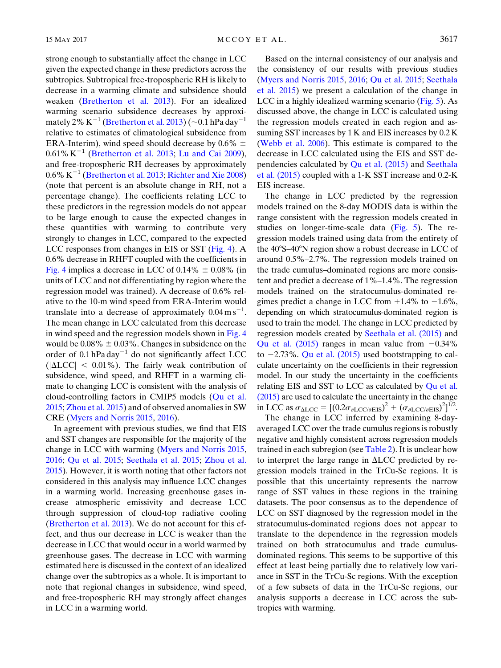strong enough to substantially affect the change in LCC given the expected change in these predictors across the subtropics. Subtropical free-tropospheric RH is likely to decrease in a warming climate and subsidence should weaken ([Bretherton et al. 2013](#page-10-17)). For an idealized warming scenario subsidence decreases by approximately 2%  $K^{-1}$  ([Bretherton et al. 2013](#page-10-17)) ( $\sim$ 0.1 hPa day<sup>-1</sup> relative to estimates of climatological subsidence from ERA-Interim), wind speed should decrease by 0.6%  $\pm$  $0.61\% K^{-1}$  [\(Bretherton et al. 2013](#page-10-17); [Lu and Cai 2009\)](#page-10-26), and free-tropospheric RH decreases by approximately  $0.6\%$  K<sup>-1</sup> [\(Bretherton et al. 2013](#page-10-17); [Richter and Xie 2008](#page-11-30)) (note that percent is an absolute change in RH, not a percentage change). The coefficients relating LCC to these predictors in the regression models do not appear to be large enough to cause the expected changes in these quantities with warming to contribute very strongly to changes in LCC, compared to the expected LCC responses from changes in EIS or SST [\(Fig. 4](#page-6-1)). A 0.6% decrease in RHFT coupled with the coefficients in [Fig. 4](#page-6-1) implies a decrease in LCC of  $0.14\% \pm 0.08\%$  (in units of LCC and not differentiating by region where the regression model was trained). A decrease of 0.6% relative to the 10-m wind speed from ERA-Interim would translate into a decrease of approximately  $0.04 \text{ m s}^{-1}$ . The mean change in LCC calculated from this decrease in wind speed and the regression models shown in [Fig. 4](#page-6-1) would be  $0.08\% \pm 0.03\%$ . Changes in subsidence on the order of  $0.1$  hPa day<sup>-1</sup> do not significantly affect LCC  $(|\Delta LCC| < 0.01\%$ ). The fairly weak contribution of subsidence, wind speed, and RHFT in a warming climate to changing LCC is consistent with the analysis of cloud-controlling factors in CMIP5 models [\(Qu et al.](#page-11-8) [2015;](#page-11-8) [Zhou et al. 2015\)](#page-11-31) and of observed anomalies in SW CRE [\(Myers and Norris 2015](#page-11-11), [2016](#page-11-3)).

In agreement with previous studies, we find that EIS and SST changes are responsible for the majority of the change in LCC with warming [\(Myers and Norris 2015,](#page-11-11) [2016;](#page-11-3) [Qu et al. 2015](#page-11-8); [Seethala et al. 2015;](#page-11-12) [Zhou et al.](#page-11-31) [2015\)](#page-11-31). However, it is worth noting that other factors not considered in this analysis may influence LCC changes in a warming world. Increasing greenhouse gases increase atmospheric emissivity and decrease LCC through suppression of cloud-top radiative cooling [\(Bretherton et al. 2013\)](#page-10-17). We do not account for this effect, and thus our decrease in LCC is weaker than the decrease in LCC that would occur in a world warmed by greenhouse gases. The decrease in LCC with warming estimated here is discussed in the context of an idealized change over the subtropics as a whole. It is important to note that regional changes in subsidence, wind speed, and free-tropospheric RH may strongly affect changes in LCC in a warming world.

Based on the internal consistency of our analysis and the consistency of our results with previous studies ([Myers and Norris 2015](#page-11-11), [2016;](#page-11-3) [Qu et al. 2015;](#page-11-8) [Seethala](#page-11-12) [et al. 2015\)](#page-11-12) we present a calculation of the change in LCC in a highly idealized warming scenario [\(Fig. 5](#page-9-0)). As discussed above, the change in LCC is calculated using the regression models created in each region and assuming SST increases by 1 K and EIS increases by 0.2 K ([Webb et al. 2006](#page-11-6)). This estimate is compared to the decrease in LCC calculated using the EIS and SST dependencies calculated by [Qu et al. \(2015\)](#page-11-8) and [Seethala](#page-11-12) [et al. \(2015\)](#page-11-12) coupled with a 1-K SST increase and 0.2-K EIS increase.

The change in LCC predicted by the regression models trained on the 8-day MODIS data is within the range consistent with the regression models created in studies on longer-time-scale data  $(Fig. 5)$  $(Fig. 5)$ . The regression models trained using data from the entirety of the  $40^{\circ}$ S- $40^{\circ}$ N region show a robust decrease in LCC of around 0.5%–2.7%. The regression models trained on the trade cumulus–dominated regions are more consistent and predict a decrease of 1%–1.4%. The regression models trained on the stratocumulus-dominated regimes predict a change in LCC from  $+1.4\%$  to  $-1.6\%$ , depending on which stratocumulus-dominated region is used to train the model. The change in LCC predicted by regression models created by [Seethala et al. \(2015\)](#page-11-12) and [Qu et al. \(2015\)](#page-11-8) ranges in mean value from  $-0.34\%$ to  $-2.73\%$ . [Qu et al. \(2015\)](#page-11-8) used bootstrapping to calculate uncertainty on the coefficients in their regression model. In our study the uncertainty in the coefficients relating EIS and SST to LCC as calculated by [Qu et al.](#page-11-8) [\(2015\)](#page-11-8) are used to calculate the uncertainty in the change in LCC as  $\sigma_{\Delta LCC} = [(0.2\sigma_{\partial LCC/\partial EIS})^2 + (\sigma_{\partial LCC/\partial EIS})^2]^{1/2}.$ 

The change in LCC inferred by examining 8-dayaveraged LCC over the trade cumulus regions is robustly negative and highly consistent across regression models trained in each subregion (see [Table 2\)](#page-4-1). It is unclear how to interpret the large range in  $\Delta LCC$  predicted by regression models trained in the TrCu-Sc regions. It is possible that this uncertainty represents the narrow range of SST values in these regions in the training datasets. The poor consensus as to the dependence of LCC on SST diagnosed by the regression model in the stratocumulus-dominated regions does not appear to translate to the dependence in the regression models trained on both stratocumulus and trade cumulusdominated regions. This seems to be supportive of this effect at least being partially due to relatively low variance in SST in the TrCu-Sc regions. With the exception of a few subsets of data in the TrCu-Sc regions, our analysis supports a decrease in LCC across the subtropics with warming.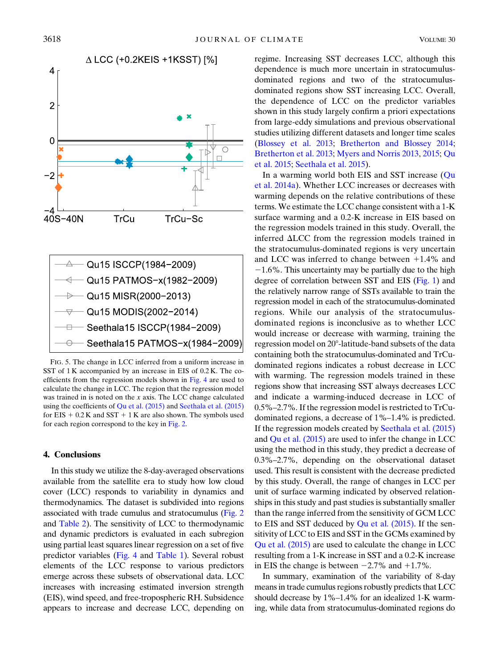<span id="page-9-0"></span>

FIG. 5. The change in LCC inferred from a uniform increase in SST of 1 K accompanied by an increase in EIS of 0.2 K. The coefficients from the regression models shown in [Fig. 4](#page-6-1) are used to calculate the change in LCC. The region that the regression model was trained in is noted on the x axis. The LCC change calculated using the coefficients of [Qu et al. \(2015\)](#page-11-8) and [Seethala et al. \(2015\)](#page-11-12) for EIS  $+ 0.2 K$  and SST  $+ 1 K$  are also shown. The symbols used for each region correspond to the key in [Fig. 2.](#page-4-0)

#### 4. Conclusions

In this study we utilize the 8-day-averaged observations available from the satellite era to study how low cloud cover (LCC) responds to variability in dynamics and thermodynamics. The dataset is subdivided into regions associated with trade cumulus and stratocumulus [\(Fig. 2](#page-4-0) and [Table 2\)](#page-4-1). The sensitivity of LCC to thermodynamic and dynamic predictors is evaluated in each subregion using partial least squares linear regression on a set of five predictor variables ([Fig. 4](#page-6-1) and [Table 1](#page-2-1)). Several robust elements of the LCC response to various predictors emerge across these subsets of observational data. LCC increases with increasing estimated inversion strength (EIS), wind speed, and free-tropospheric RH. Subsidence appears to increase and decrease LCC, depending on regime. Increasing SST decreases LCC, although this dependence is much more uncertain in stratocumulusdominated regions and two of the stratocumulusdominated regions show SST increasing LCC. Overall, the dependence of LCC on the predictor variables shown in this study largely confirm a priori expectations from large-eddy simulations and previous observational studies utilizing different datasets and longer time scales ([Blossey et al. 2013;](#page-10-19) [Bretherton and Blossey 2014;](#page-10-24) [Bretherton et al. 2013;](#page-10-17) [Myers and Norris 2013,](#page-11-10) [2015](#page-11-11); [Qu](#page-11-8) [et al. 2015](#page-11-8); [Seethala et al. 2015](#page-11-12)).

In a warming world both EIS and SST increase [\(Qu](#page-11-18) [et al. 2014a](#page-11-18)). Whether LCC increases or decreases with warming depends on the relative contributions of these terms. We estimate the LCC change consistent with a 1-K surface warming and a 0.2-K increase in EIS based on the regression models trained in this study. Overall, the inferred  $\Delta$ LCC from the regression models trained in the stratocumulus-dominated regions is very uncertain and LCC was inferred to change between  $+1.4\%$  and  $-1.6\%$ . This uncertainty may be partially due to the high degree of correlation between SST and EIS [\(Fig. 1\)](#page-3-0) and the relatively narrow range of SSTs available to train the regression model in each of the stratocumulus-dominated regions. While our analysis of the stratocumulusdominated regions is inconclusive as to whether LCC would increase or decrease with warming, training the regression model on 20°-latitude-band subsets of the data containing both the stratocumulus-dominated and TrCudominated regions indicates a robust decrease in LCC with warming. The regression models trained in these regions show that increasing SST always decreases LCC and indicate a warming-induced decrease in LCC of 0.5%–2.7%. If the regression model is restricted to TrCudominated regions, a decrease of 1%–1.4% is predicted. If the regression models created by [Seethala et al. \(2015\)](#page-11-12) and [Qu et al. \(2015\)](#page-11-8) are used to infer the change in LCC using the method in this study, they predict a decrease of 0.3%–2.7%, depending on the observational dataset used. This result is consistent with the decrease predicted by this study. Overall, the range of changes in LCC per unit of surface warming indicated by observed relationships in this study and past studies is substantially smaller than the range inferred from the sensitivity of GCM LCC to EIS and SST deduced by [Qu et al. \(2015\)](#page-11-8). If the sensitivity of LCC to EIS and SST in the GCMs examined by [Qu et al. \(2015\)](#page-11-8) are used to calculate the change in LCC resulting from a 1-K increase in SST and a 0.2-K increase in EIS the change is between  $-2.7\%$  and  $+1.7\%$ .

In summary, examination of the variability of 8-day means in trade cumulus regions robustly predicts that LCC should decrease by 1%–1.4% for an idealized 1-K warming, while data from stratocumulus-dominated regions do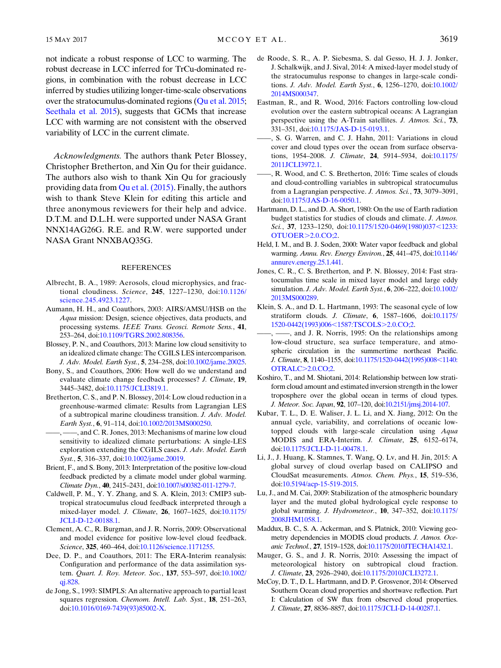not indicate a robust response of LCC to warming. The robust decrease in LCC inferred for TrCu-dominated regions, in combination with the robust decrease in LCC inferred by studies utilizing longer-time-scale observations over the stratocumulus-dominated regions ([Qu et al. 2015;](#page-11-8) [Seethala et al. 2015](#page-11-12)), suggests that GCMs that increase LCC with warming are not consistent with the observed variability of LCC in the current climate.

Acknowledgments. The authors thank Peter Blossey, Christopher Bretherton, and Xin Qu for their guidance. The authors also wish to thank Xin Qu for graciously providing data from [Qu et al. \(2015\)](#page-11-8). Finally, the authors wish to thank Steve Klein for editing this article and three anonymous reviewers for their help and advice. D.T.M. and D.L.H. were supported under NASA Grant NNX14AG26G. R.E. and R.W. were supported under NASA Grant NNXBAQ35G.

#### REFERENCES

- <span id="page-10-15"></span>Albrecht, B. A., 1989: Aerosols, cloud microphysics, and fractional cloudiness. Science, 245, 1227–1230, doi[:10.1126/](http://dx.doi.org/10.1126/science.245.4923.1227) [science.245.4923.1227](http://dx.doi.org/10.1126/science.245.4923.1227).
- <span id="page-10-11"></span>Aumann, H. H., and Coauthors, 2003: AIRS/AMSU/HSB on the Aqua mission: Design, science objectives, data products, and processing systems. IEEE Trans. Geosci. Remote Sens., 41, 253–264, doi:[10.1109/TGRS.2002.808356](http://dx.doi.org/10.1109/TGRS.2002.808356).
- <span id="page-10-19"></span>Blossey, P. N., and Coauthors, 2013: Marine low cloud sensitivity to an idealized climate change: The CGILS LES intercomparison. J. Adv. Model. Earth Syst., 5, 234–258, doi:[10.1002/jame.20025.](http://dx.doi.org/10.1002/jame.20025)
- <span id="page-10-1"></span>Bony, S., and Coauthors, 2006: How well do we understand and evaluate climate change feedback processes? J. Climate, 19, 3445–3482, doi:[10.1175/JCLI3819.1](http://dx.doi.org/10.1175/JCLI3819.1).
- <span id="page-10-24"></span>Bretherton, C. S., and P. N. Blossey, 2014: Low cloud reduction in a greenhouse-warmed climate: Results from Lagrangian LES of a subtropical marine cloudiness transition. J. Adv. Model. Earth Syst., 6, 91–114, doi[:10.1002/2013MS000250](http://dx.doi.org/10.1002/2013MS000250).
- <span id="page-10-17"></span>——, ——, and C. R. Jones, 2013: Mechanisms of marine low cloud sensitivity to idealized climate perturbations: A single-LES exploration extending the CGILS cases. J. Adv. Model. Earth Syst., 5, 316–337, doi:[10.1002/jame.20019.](http://dx.doi.org/10.1002/jame.20019)
- <span id="page-10-25"></span>Brient, F., and S. Bony, 2013: Interpretation of the positive low-cloud feedback predicted by a climate model under global warming. Climate Dyn., 40, 2415–2431, doi[:10.1007/s00382-011-1279-7.](http://dx.doi.org/10.1007/s00382-011-1279-7)
- <span id="page-10-2"></span>Caldwell, P. M., Y. Y. Zhang, and S. A. Klein, 2013: CMIP3 subtropical stratocumulus cloud feedback interpreted through a mixed-layer model. J. Climate, 26, 1607–1625, doi:[10.1175/](http://dx.doi.org/10.1175/JCLI-D-12-00188.1) [JCLI-D-12-00188.1.](http://dx.doi.org/10.1175/JCLI-D-12-00188.1)
- <span id="page-10-21"></span>Clement, A. C., R. Burgman, and J. R. Norris, 2009: Observational and model evidence for positive low-level cloud feedback. Science, 325, 460-464, doi[:10.1126/science.1171255.](http://dx.doi.org/10.1126/science.1171255)
- <span id="page-10-12"></span>Dee, D. P., and Coauthors, 2011: The ERA-Interim reanalysis: Configuration and performance of the data assimilation system. Quart. J. Roy. Meteor. Soc., 137, 553–597, doi:[10.1002/](http://dx.doi.org/10.1002/qj.828) [qj.828](http://dx.doi.org/10.1002/qj.828).
- <span id="page-10-13"></span>de Jong, S., 1993: SIMPLS: An alternative approach to partial least squares regression. Chemom. Intell. Lab. Syst., 18, 251–263, doi:[10.1016/0169-7439\(93\)85002-X](http://dx.doi.org/10.1016/0169-7439(93)85002-X).
- <span id="page-10-18"></span>de Roode, S. R., A. P. Siebesma, S. dal Gesso, H. J. J. Jonker, J. Schalkwijk, and J. Sival, 2014: A mixed-layer model study of the stratocumulus response to changes in large-scale conditions. J. Adv. Model. Earth Syst., 6, 1256–1270, doi[:10.1002/](http://dx.doi.org/10.1002/2014MS000347) [2014MS000347.](http://dx.doi.org/10.1002/2014MS000347)
- <span id="page-10-7"></span>Eastman, R., and R. Wood, 2016: Factors controlling low-cloud evolution over the eastern subtropical oceans: A Lagrangian perspective using the A-Train satellites. J. Atmos. Sci., 73, 331–351, doi:[10.1175/JAS-D-15-0193.1.](http://dx.doi.org/10.1175/JAS-D-15-0193.1)
- <span id="page-10-22"></span>——, S. G. Warren, and C. J. Hahn, 2011: Variations in cloud cover and cloud types over the ocean from surface observations, 1954–2008. J. Climate, 24, 5914–5934, doi[:10.1175/](http://dx.doi.org/10.1175/2011JCLI3972.1) [2011JCLI3972.1](http://dx.doi.org/10.1175/2011JCLI3972.1).
- <span id="page-10-3"></span>——, R. Wood, and C. S. Bretherton, 2016: Time scales of clouds and cloud-controlling variables in subtropical stratocumulus from a Lagrangian perspective. J. Atmos. Sci., 73, 3079–3091, doi:[10.1175/JAS-D-16-0050.1.](http://dx.doi.org/10.1175/JAS-D-16-0050.1)
- <span id="page-10-0"></span>Hartmann, D. L., and D. A. Short, 1980: On the use of Earth radiation budget statistics for studies of clouds and climate. J. Atmos. Sci., 37, 1233-1250, doi:[10.1175/1520-0469\(1980\)037](http://dx.doi.org/10.1175/1520-0469(1980)037<1233:OTUOER>2.0.CO;2)<1233: [OTUOER](http://dx.doi.org/10.1175/1520-0469(1980)037<1233:OTUOER>2.0.CO;2)>2.0.CO;2.
- <span id="page-10-20"></span>Held, I. M., and B. J. Soden, 2000: Water vapor feedback and global warming. Annu. Rev. Energy Environ., 25, 441–475, doi[:10.1146/](http://dx.doi.org/10.1146/annurev.energy.25.1.441) [annurev.energy.25.1.441](http://dx.doi.org/10.1146/annurev.energy.25.1.441).
- <span id="page-10-4"></span>Jones, C. R., C. S. Bretherton, and P. N. Blossey, 2014: Fast stratocumulus time scale in mixed layer model and large eddy simulation. J. Adv. Model. Earth Syst., 6, 206–222, doi[:10.1002/](http://dx.doi.org/10.1002/2013MS000289) [2013MS000289.](http://dx.doi.org/10.1002/2013MS000289)
- <span id="page-10-14"></span>Klein, S. A., and D. L. Hartmann, 1993: The seasonal cycle of low stratiform clouds. J. Climate, 6, 1587–1606, doi[:10.1175/](http://dx.doi.org/10.1175/1520-0442(1993)006<1587:TSCOLS>2.0.CO;2) [1520-0442\(1993\)006](http://dx.doi.org/10.1175/1520-0442(1993)006<1587:TSCOLS>2.0.CO;2)<1587:TSCOLS>2.0.CO;2.
- <span id="page-10-6"></span>-, and J. R. Norris, 1995: On the relationships among low-cloud structure, sea surface temperature, and atmospheric circulation in the summertime northeast Pacific. J. Climate, 8, 1140-1155, doi[:10.1175/1520-0442\(1995\)008](http://dx.doi.org/10.1175/1520-0442(1995)008<1140:OTRALC>2.0.CO;2)<1140: [OTRALC](http://dx.doi.org/10.1175/1520-0442(1995)008<1140:OTRALC>2.0.CO;2)>2.0.CO;2.
- <span id="page-10-16"></span>Koshiro, T., and M. Shiotani, 2014: Relationship between low stratiform cloud amount and estimated inversion strength in the lower troposphere over the global ocean in terms of cloud types. J. Meteor. Soc. Japan, 92, 107–120, doi[:10.2151/jmsj.2014-107](http://dx.doi.org/10.2151/jmsj.2014-107).
- <span id="page-10-23"></span>Kubar, T. L., D. E. Waliser, J. L. Li, and X. Jiang, 2012: On the annual cycle, variability, and correlations of oceanic lowtopped clouds with large-scale circulation using Aqua MODIS and ERA-Interim. J. Climate, 25, 6152–6174, doi:[10.1175/JCLI-D-11-00478.1.](http://dx.doi.org/10.1175/JCLI-D-11-00478.1)
- <span id="page-10-8"></span>Li, J., J. Huang, K. Stamnes, T. Wang, Q. Lv, and H. Jin, 2015: A global survey of cloud overlap based on CALIPSO and CloudSat measurements. Atmos. Chem. Phys., 15, 519–536, doi:[10.5194/acp-15-519-2015.](http://dx.doi.org/10.5194/acp-15-519-2015)
- <span id="page-10-26"></span>Lu, J., and M. Cai, 2009: Stabilization of the atmospheric boundary layer and the muted global hydrological cycle response to global warming. J. Hydrometeor., 10, 347-352, doi[:10.1175/](http://dx.doi.org/10.1175/2008JHM1058.1) [2008JHM1058.1](http://dx.doi.org/10.1175/2008JHM1058.1).
- <span id="page-10-10"></span>Maddux, B. C., S. A. Ackerman, and S. Platnick, 2010: Viewing geometry dependencies in MODIS cloud products. J. Atmos. Oceanic Technol., 27, 1519–1528, doi[:10.1175/2010JTECHA1432.1.](http://dx.doi.org/10.1175/2010JTECHA1432.1)
- <span id="page-10-5"></span>Mauger, G. S., and J. R. Norris, 2010: Assessing the impact of meteorological history on subtropical cloud fraction. J. Climate, 23, 2926–2940, doi:[10.1175/2010JCLI3272.1](http://dx.doi.org/10.1175/2010JCLI3272.1).
- <span id="page-10-9"></span>McCoy, D. T., D. L. Hartmann, and D. P. Grosvenor, 2014: Observed Southern Ocean cloud properties and shortwave reflection. Part I: Calculation of SW flux from observed cloud properties. J. Climate, 27, 8836–8857, doi[:10.1175/JCLI-D-14-00287.1](http://dx.doi.org/10.1175/JCLI-D-14-00287.1).